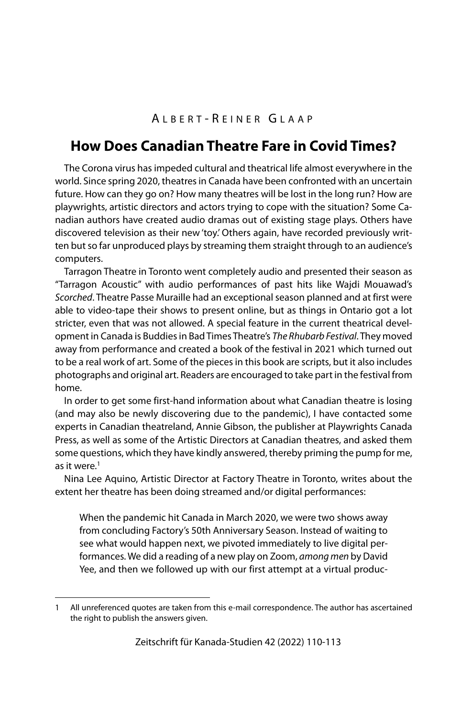## A LBERT - R EINER G LAAP

## **How Does Canadian Theatre Fare in Covid Times?**

The Corona virus has impeded cultural and theatrical life almost everywhere in the world. Since spring 2020, theatres in Canada have been confronted with an uncertain future. How can they go on? How many theatres will be lost in the long run? How are playwrights, artistic directors and actors trying to cope with the situation? Some Canadian authors have created audio dramas out of existing stage plays. Others have discovered television as their new 'toy.' Others again, have recorded previously written but so far unproduced plays by streaming them straight through to an audience's computers.

Tarragon Theatre in Toronto went completely audio and presented their season as "Tarragon Acoustic" with audio performances of past hits like Wajdi Mouawad's Scorched. Theatre Passe Muraille had an exceptional season planned and at first were able to video-tape their shows to present online, but as things in Ontario got a lot stricter, even that was not allowed. A special feature in the current theatrical development in Canada is Buddies in Bad Times Theatre's The Rhubarb Festival. They moved away from performance and created a book of the festival in 2021 which turned out to be a real work of art. Some of the pieces in this book are scripts, but it also includes photographs and original art. Readers are encouraged to take part in the festival from home.

In order to get some first-hand information about what Canadian theatre is losing (and may also be newly discovering due to the pandemic), I have contacted some experts in Canadian theatreland, Annie Gibson, the publisher at Playwrights Canada Press, as well as some of the Artistic Directors at Canadian theatres, and asked them some questions, which they have kindly answered, thereby priming the pump for me, as it were. $1$ 

Nina Lee Aquino, Artistic Director at Factory Theatre in Toronto, writes about the extent her theatre has been doing streamed and/or digital performances:

When the pandemic hit Canada in March 2020, we were two shows away from concluding Factory's 50th Anniversary Season. Instead of waiting to see what would happen next, we pivoted immediately to live digital performances. We did a reading of a new play on Zoom, among men by David Yee, and then we followed up with our first attempt at a virtual produc-

<sup>1</sup> All unreferenced quotes are taken from this e-mail correspondence. The author has ascertained the right to publish the answers given.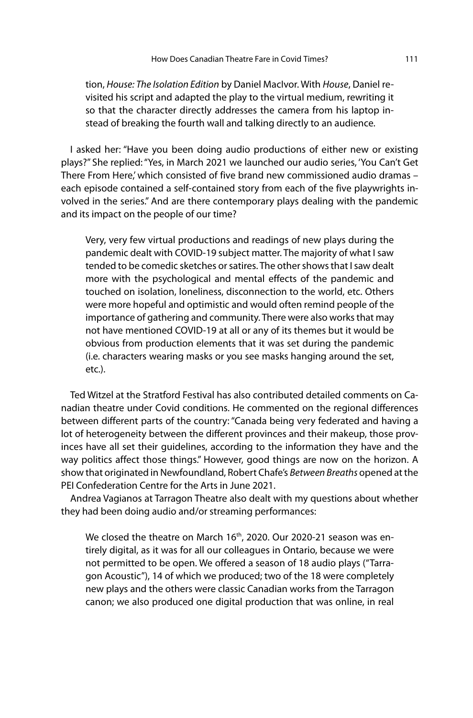tion, House: The Isolation Edition by Daniel MacIvor. With House, Daniel revisited his script and adapted the play to the virtual medium, rewriting it so that the character directly addresses the camera from his laptop instead of breaking the fourth wall and talking directly to an audience.

I asked her: "Have you been doing audio productions of either new or existing plays?" She replied: "Yes, in March 2021 we launched our audio series, 'You Can't Get There From Here,' which consisted of five brand new commissioned audio dramas – each episode contained a self-contained story from each of the five playwrights involved in the series." And are there contemporary plays dealing with the pandemic and its impact on the people of our time?

Very, very few virtual productions and readings of new plays during the pandemic dealt with COVID-19 subject matter. The majority of what I saw tended to be comedic sketches or satires. The other shows that I saw dealt more with the psychological and mental effects of the pandemic and touched on isolation, loneliness, disconnection to the world, etc. Others were more hopeful and optimistic and would often remind people of the importance of gathering and community. There were also works that may not have mentioned COVID-19 at all or any of its themes but it would be obvious from production elements that it was set during the pandemic (i.e. characters wearing masks or you see masks hanging around the set, etc.).

Ted Witzel at the Stratford Festival has also contributed detailed comments on Canadian theatre under Covid conditions. He commented on the regional differences between different parts of the country: "Canada being very federated and having a lot of heterogeneity between the different provinces and their makeup, those provinces have all set their guidelines, according to the information they have and the way politics affect those things." However, good things are now on the horizon. A show that originated in Newfoundland, Robert Chafe's Between Breaths opened at the PEI Confederation Centre for the Arts in June 2021.

Andrea Vagianos at Tarragon Theatre also dealt with my questions about whether they had been doing audio and/or streaming performances:

We closed the theatre on March 16<sup>th</sup>, 2020. Our 2020-21 season was entirely digital, as it was for all our colleagues in Ontario, because we were not permitted to be open. We offered a season of 18 audio plays ("Tarragon Acoustic"), 14 of which we produced; two of the 18 were completely new plays and the others were classic Canadian works from the Tarragon canon; we also produced one digital production that was online, in real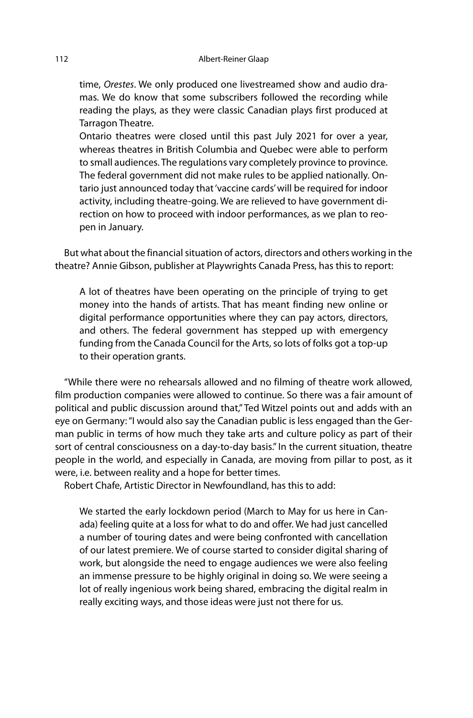time, Orestes. We only produced one livestreamed show and audio dramas. We do know that some subscribers followed the recording while reading the plays, as they were classic Canadian plays first produced at Tarragon Theatre.

Ontario theatres were closed until this past July 2021 for over a year, whereas theatres in British Columbia and Quebec were able to perform to small audiences. The regulations vary completely province to province. The federal government did not make rules to be applied nationally. Ontario just announced today that 'vaccine cards' will be required for indoor activity, including theatre-going. We are relieved to have government direction on how to proceed with indoor performances, as we plan to reopen in January.

But what about the financial situation of actors, directors and others working in the theatre? Annie Gibson, publisher at Playwrights Canada Press, has this to report:

A lot of theatres have been operating on the principle of trying to get money into the hands of artists. That has meant finding new online or digital performance opportunities where they can pay actors, directors, and others. The federal government has stepped up with emergency funding from the Canada Council for the Arts, so lots of folks got a top-up to their operation grants.

"While there were no rehearsals allowed and no filming of theatre work allowed, film production companies were allowed to continue. So there was a fair amount of political and public discussion around that," Ted Witzel points out and adds with an eye on Germany: "I would also say the Canadian public is less engaged than the German public in terms of how much they take arts and culture policy as part of their sort of central consciousness on a day-to-day basis." In the current situation, theatre people in the world, and especially in Canada, are moving from pillar to post, as it were, i.e. between reality and a hope for better times.

Robert Chafe, Artistic Director in Newfoundland, has this to add:

We started the early lockdown period (March to May for us here in Canada) feeling quite at a loss for what to do and offer. We had just cancelled a number of touring dates and were being confronted with cancellation of our latest premiere. We of course started to consider digital sharing of work, but alongside the need to engage audiences we were also feeling an immense pressure to be highly original in doing so. We were seeing a lot of really ingenious work being shared, embracing the digital realm in really exciting ways, and those ideas were just not there for us.